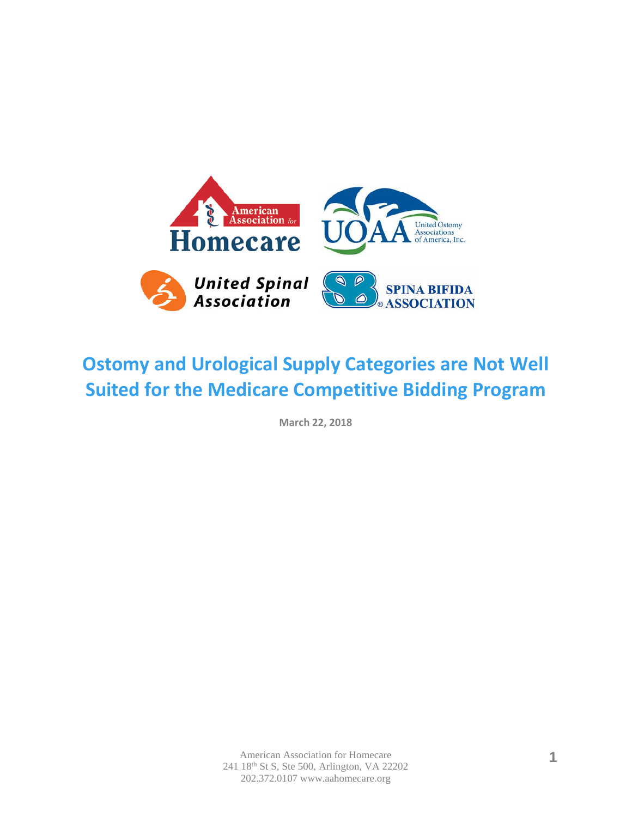

# **Ostomy and Urological Supply Categories are Not Well Suited for the Medicare Competitive Bidding Program**

**March 22, 2018**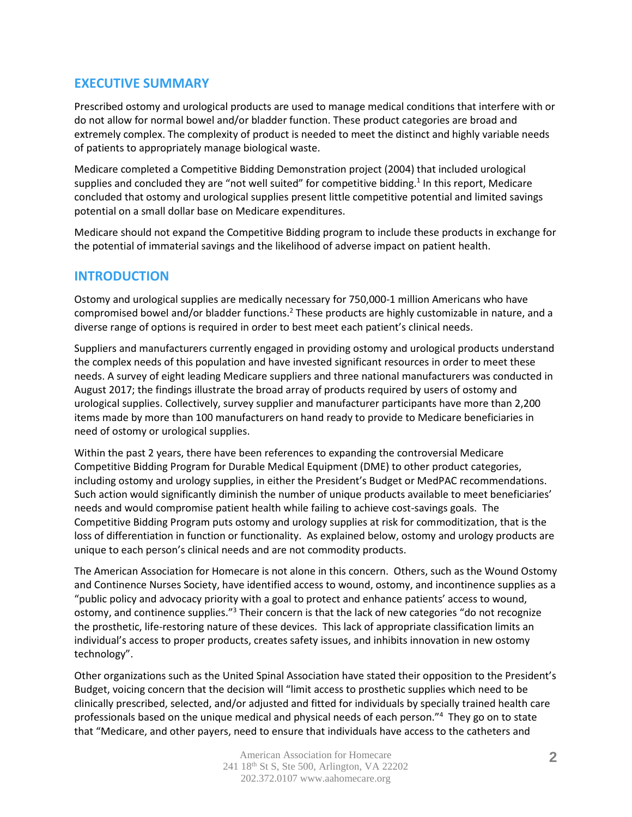## **EXECUTIVE SUMMARY**

Prescribed ostomy and urological products are used to manage medical conditions that interfere with or do not allow for normal bowel and/or bladder function. These product categories are broad and extremely complex. The complexity of product is needed to meet the distinct and highly variable needs of patients to appropriately manage biological waste.

Medicare completed a Competitive Bidding Demonstration project (2004) that included urological supplies and concluded they are "not well suited" for competitive bidding.<sup>1</sup> In this report, Medicare concluded that ostomy and urological supplies present little competitive potential and limited savings potential on a small dollar base on Medicare expenditures.

Medicare should not expand the Competitive Bidding program to include these products in exchange for the potential of immaterial savings and the likelihood of adverse impact on patient health.

# **INTRODUCTION**

Ostomy and urological supplies are medically necessary for 750,000-1 million Americans who have compromised bowel and/or bladder functions.<sup>2</sup> These products are highly customizable in nature, and a diverse range of options is required in order to best meet each patient's clinical needs.

Suppliers and manufacturers currently engaged in providing ostomy and urological products understand the complex needs of this population and have invested significant resources in order to meet these needs. A survey of eight leading Medicare suppliers and three national manufacturers was conducted in August 2017; the findings illustrate the broad array of products required by users of ostomy and urological supplies. Collectively, survey supplier and manufacturer participants have more than 2,200 items made by more than 100 manufacturers on hand ready to provide to Medicare beneficiaries in need of ostomy or urological supplies.

Within the past 2 years, there have been references to expanding the controversial Medicare Competitive Bidding Program for Durable Medical Equipment (DME) to other product categories, including ostomy and urology supplies, in either the President's Budget or MedPAC recommendations. Such action would significantly diminish the number of unique products available to meet beneficiaries' needs and would compromise patient health while failing to achieve cost-savings goals. The Competitive Bidding Program puts ostomy and urology supplies at risk for commoditization, that is the loss of differentiation in function or functionality. As explained below, ostomy and urology products are unique to each person's clinical needs and are not commodity products.

The American Association for Homecare is not alone in this concern. Others, such as the Wound Ostomy and Continence Nurses Society, have identified access to wound, ostomy, and incontinence supplies as a "public policy and advocacy priority with a goal to protect and enhance patients' access to wound, ostomy, and continence supplies."<sup>3</sup> Their concern is that the lack of new categories "do not recognize" the prosthetic, life-restoring nature of these devices. This lack of appropriate classification limits an individual's access to proper products, creates safety issues, and inhibits innovation in new ostomy technology".

Other organizations such as the United Spinal Association have stated their opposition to the President's Budget, voicing concern that the decision will "limit access to prosthetic supplies which need to be clinically prescribed, selected, and/or adjusted and fitted for individuals by specially trained health care professionals based on the unique medical and physical needs of each person."4 They go on to state that "Medicare, and other payers, need to ensure that individuals have access to the catheters and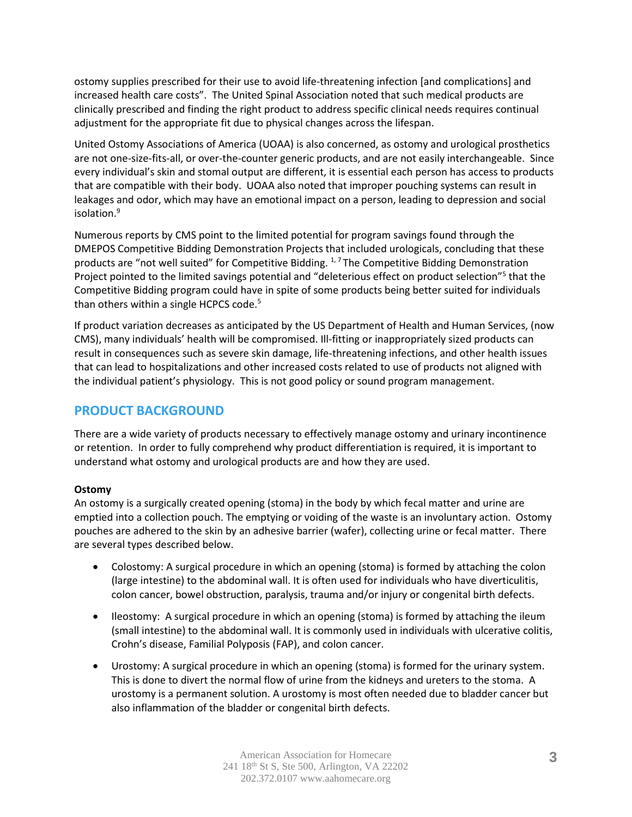ostomy supplies prescribed for their use to avoid life-threatening infection [and complications] and increased health care costs". The United Spinal Association noted that such medical products are clinically prescribed and finding the right product to address specific clinical needs requires continual adjustment for the appropriate fit due to physical changes across the lifespan.

United Ostomy Associations of America (UOAA) is also concerned, as ostomy and urological prosthetics are not one-size-fits-all, or over-the-counter generic products, and are not easily interchangeable. Since every individual's skin and stomal output are different, it is essential each person has access to products that are compatible with their body. UOAA also noted that improper pouching systems can result in leakages and odor, which may have an emotional impact on a person, leading to depression and social isolation.9

Numerous reports by CMS point to the limited potential for program savings found through the DMEPOS Competitive Bidding Demonstration Projects that included urologicals, concluding that these products are "not well suited" for Competitive Bidding.  $1.7$  The Competitive Bidding Demonstration Project pointed to the limited savings potential and "deleterious effect on product selection"<sup>5</sup> that the Competitive Bidding program could have in spite of some products being better suited for individuals than others within a single HCPCS code. $5$ 

If product variation decreases as anticipated by the US Department of Health and Human Services, (now CMS), many individuals' health will be compromised. Ill-fitting or inappropriately sized products can result in consequences such as severe skin damage, life-threatening infections, and other health issues that can lead to hospitalizations and other increased costs related to use of products not aligned with the individual patient's physiology. This is not good policy or sound program management.

# **PRODUCT BACKGROUND**

There are a wide variety of products necessary to effectively manage ostomy and urinary incontinence or retention. In order to fully comprehend why product differentiation is required, it is important to understand what ostomy and urological products are and how they are used.

## **Ostomy**

An ostomy is a surgically created opening (stoma) in the body by which fecal matter and urine are emptied into a collection pouch. The emptying or voiding of the waste is an involuntary action. Ostomy pouches are adhered to the skin by an adhesive barrier (wafer), collecting urine or fecal matter. There are several types described below.

- Colostomy: A surgical procedure in which an opening (stoma) is formed by attaching the colon (large intestine) to the abdominal wall. It is often used for individuals who have diverticulitis, colon cancer, bowel obstruction, paralysis, trauma and/or injury or congenital birth defects.
- Ileostomy: A surgical procedure in which an opening (stoma) is formed by attaching the ileum (small intestine) to the abdominal wall. It is commonly used in individuals with ulcerative colitis, Crohn's disease, Familial Polyposis (FAP), and colon cancer.
- Urostomy: A surgical procedure in which an opening (stoma) is formed for the urinary system. This is done to divert the normal flow of urine from the kidneys and ureters to the stoma. A urostomy is a permanent solution. A urostomy is most often needed due to bladder cancer but also inflammation of the bladder or congenital birth defects.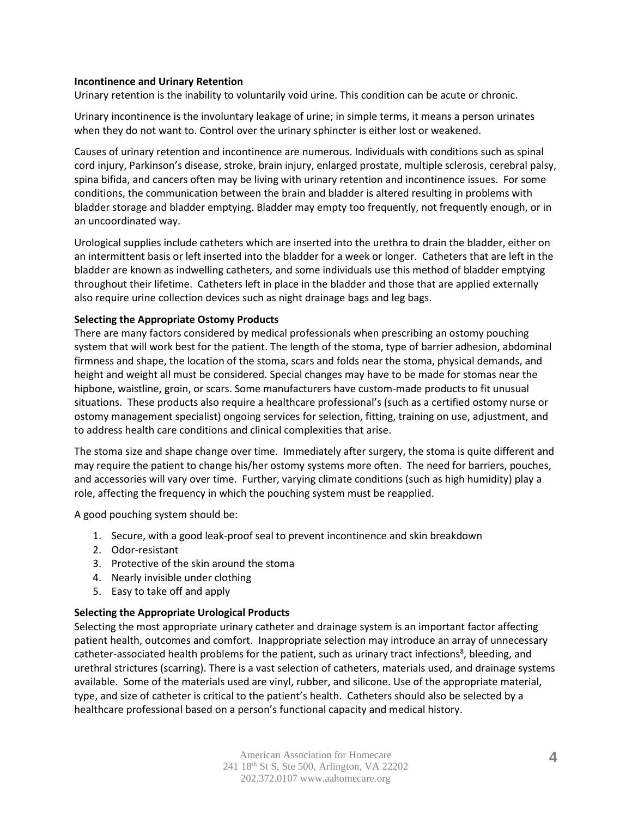#### **Incontinence and Urinary Retention**

Urinary retention is the inability to voluntarily void urine. This condition can be acute or chronic.

Urinary incontinence is the involuntary leakage of urine; in simple terms, it means a person urinates when they do not want to. Control over the urinary sphincter is either lost or weakened.

Causes of urinary retention and incontinence are numerous. Individuals with conditions such as spinal cord injury, Parkinson's disease, stroke, brain injury, enlarged prostate, multiple sclerosis, cerebral palsy, spina bifida, and cancers often may be living with urinary retention and incontinence issues. For some conditions, the communication between the brain and bladder is altered resulting in problems with bladder storage and bladder emptying. Bladder may empty too frequently, not frequently enough, or in an uncoordinated way.

Urological supplies include catheters which are inserted into the urethra to drain the bladder, either on an intermittent basis or left inserted into the bladder for a week or longer. Catheters that are left in the bladder are known as indwelling catheters, and some individuals use this method of bladder emptying throughout their lifetime. Catheters left in place in the bladder and those that are applied externally also require urine collection devices such as night drainage bags and leg bags.

#### **Selecting the Appropriate Ostomy Products**

There are many factors considered by medical professionals when prescribing an ostomy pouching system that will work best for the patient. The length of the stoma, type of barrier adhesion, abdominal firmness and shape, the location of the stoma, scars and folds near the stoma, physical demands, and height and weight all must be considered. Special changes may have to be made for stomas near the hipbone, waistline, groin, or scars. Some manufacturers have custom-made products to fit unusual situations. These products also require a healthcare professional's (such as a certified ostomy nurse or ostomy management specialist) ongoing services for selection, fitting, training on use, adjustment, and to address health care conditions and clinical complexities that arise.

The stoma size and shape change over time. Immediately after surgery, the stoma is quite different and may require the patient to change his/her ostomy systems more often. The need for barriers, pouches, and accessories will vary over time. Further, varying climate conditions (such as high humidity) play a role, affecting the frequency in which the pouching system must be reapplied.

A good pouching system should be:

- 1. Secure, with a good leak-proof seal to prevent incontinence and skin breakdown
- 2. Odor-resistant
- 3. Protective of the skin around the stoma
- 4. Nearly invisible under clothing
- 5. Easy to take off and apply

#### **Selecting the Appropriate Urological Products**

Selecting the most appropriate urinary catheter and drainage system is an important factor affecting patient health, outcomes and comfort. Inappropriate selection may introduce an array of unnecessary catheter-associated health problems for the patient, such as urinary tract infections<sup>8</sup>, bleeding, and urethral strictures (scarring). There is a vast selection of catheters, materials used, and drainage systems available. Some of the materials used are vinyl, rubber, and silicone. Use of the appropriate material, type, and size of catheter is critical to the patient's health. Catheters should also be selected by a healthcare professional based on a person's functional capacity and medical history.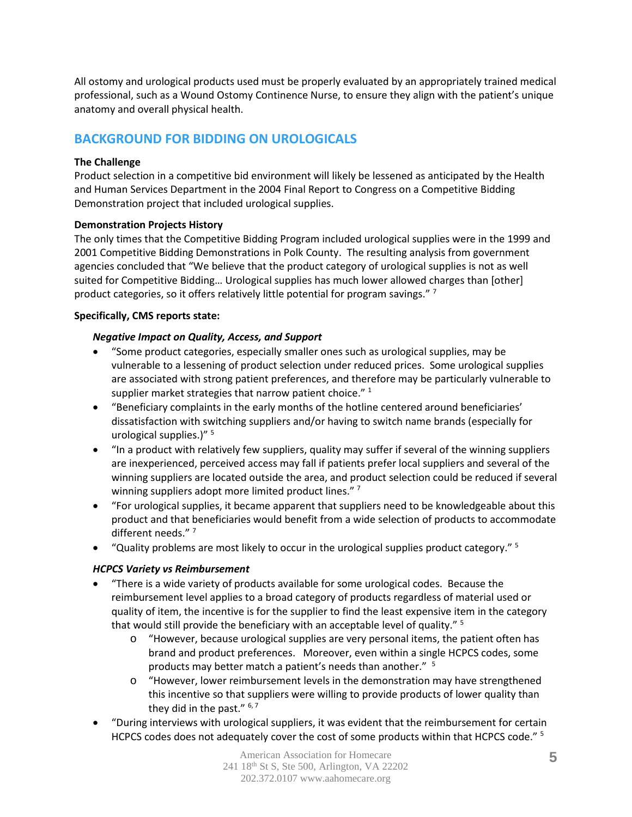All ostomy and urological products used must be properly evaluated by an appropriately trained medical professional, such as a Wound Ostomy Continence Nurse, to ensure they align with the patient's unique anatomy and overall physical health.

# **BACKGROUND FOR BIDDING ON UROLOGICALS**

### **The Challenge**

Product selection in a competitive bid environment will likely be lessened as anticipated by the Health and Human Services Department in the 2004 Final Report to Congress on a Competitive Bidding Demonstration project that included urological supplies.

#### **Demonstration Projects History**

The only times that the Competitive Bidding Program included urological supplies were in the 1999 and 2001 Competitive Bidding Demonstrations in Polk County. The resulting analysis from government agencies concluded that "We believe that the product category of urological supplies is not as well suited for Competitive Bidding… Urological supplies has much lower allowed charges than [other] product categories, so it offers relatively little potential for program savings." 7

#### **Specifically, CMS reports state:**

#### *Negative Impact on Quality, Access, and Support*

- "Some product categories, especially smaller ones such as urological supplies, may be vulnerable to a lessening of product selection under reduced prices. Some urological supplies are associated with strong patient preferences, and therefore may be particularly vulnerable to supplier market strategies that narrow patient choice."  $^1$
- "Beneficiary complaints in the early months of the hotline centered around beneficiaries' dissatisfaction with switching suppliers and/or having to switch name brands (especially for urological supplies.) $"$ <sup>5</sup>
- "In a product with relatively few suppliers, quality may suffer if several of the winning suppliers are inexperienced, perceived access may fall if patients prefer local suppliers and several of the winning suppliers are located outside the area, and product selection could be reduced if several winning suppliers adopt more limited product lines."<sup>7</sup>
- "For urological supplies, it became apparent that suppliers need to be knowledgeable about this product and that beneficiaries would benefit from a wide selection of products to accommodate different needs."<sup>7</sup>
- "Quality problems are most likely to occur in the urological supplies product category." <sup>5</sup>

## *HCPCS Variety vs Reimbursement*

- "There is a wide variety of products available for some urological codes. Because the reimbursement level applies to a broad category of products regardless of material used or quality of item, the incentive is for the supplier to find the least expensive item in the category that would still provide the beneficiary with an acceptable level of quality." <sup>5</sup>
	- o "However, because urological supplies are very personal items, the patient often has brand and product preferences. Moreover, even within a single HCPCS codes, some products may better match a patient's needs than another." 5
	- o "However, lower reimbursement levels in the demonstration may have strengthened this incentive so that suppliers were willing to provide products of lower quality than they did in the past."  $6, 7$
- "During interviews with urological suppliers, it was evident that the reimbursement for certain HCPCS codes does not adequately cover the cost of some products within that HCPCS code." <sup>5</sup>